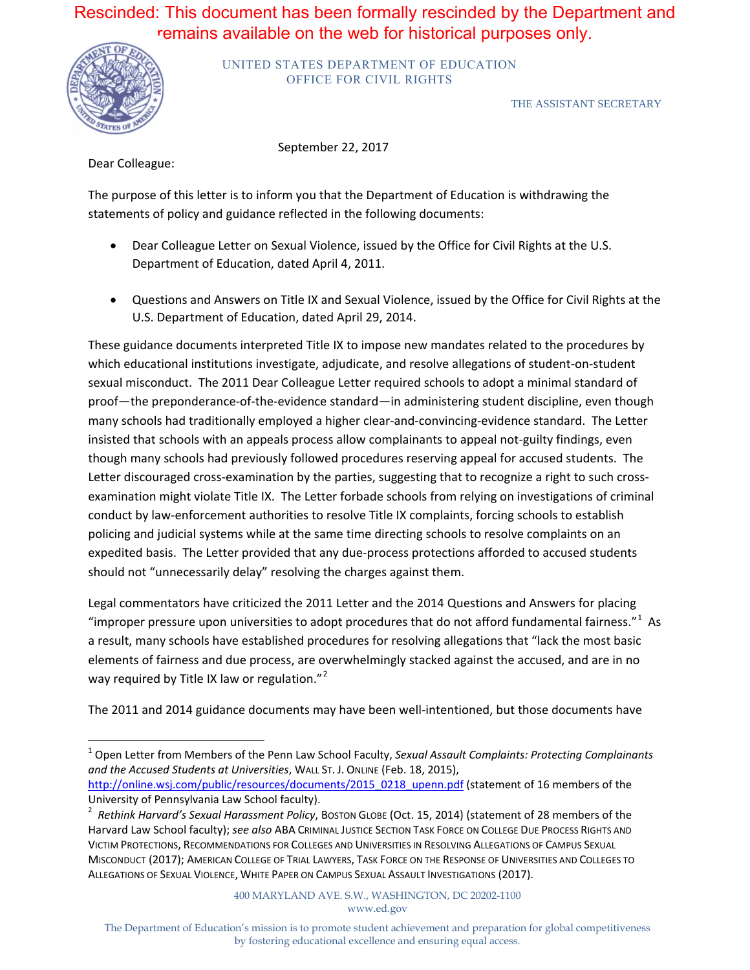## Rescinded: This document has been formally rescinded by the Department and remains available on the web for historical purposes only.



UNITED STATES DEPARTMENT OF EDUCATION OFFICE FOR CIVIL RIGHTS

THE ASSISTANT SECRETARY

September 22, 2017

Dear Colleague:

The purpose of this letter is to inform you that the Department of Education is withdrawing the statements of policy and guidance reflected in the following documents:

- • Dear Colleague Letter on Sexual Violence, issued by the Office for Civil Rights at the U.S. Department of Education, dated April 4, 2011.
- Questions and Answers on Title IX and Sexual Violence, issued by the Office for Civil Rights at the U.S. Department of Education, dated April 29, 2014.

 These guidance documents interpreted Title IX to impose new mandates related to the procedures by many schools had traditionally employed a higher clear-and-convincing-evidence standard. The Letter insisted that schools with an appeals process allow complainants to appeal not-guilty findings, even examination might violate Title IX. The Letter forbade schools from relying on investigations of criminal expedited basis. The Letter provided that any due-process protections afforded to accused students which educational institutions investigate, adjudicate, and resolve allegations of student-on-student sexual misconduct. The 2011 Dear Colleague Letter required schools to adopt a minimal standard of proof—the preponderance-of-the-evidence standard—in administering student discipline, even though though many schools had previously followed procedures reserving appeal for accused students. The Letter discouraged cross-examination by the parties, suggesting that to recognize a right to such crossconduct by law-enforcement authorities to resolve Title IX complaints, forcing schools to establish policing and judicial systems while at the same time directing schools to resolve complaints on an should not "unnecessarily delay" resolving the charges against them.

"improper pressure upon universities to adopt procedures that do not afford fundamental fairness."<sup>1</sup> As a result, many schools have established procedures for resolving allegations that "lack the most basic elements of fairness and due process, are overwhelmingly stacked against the accused, and are in no way required by Title IX law or regulation."<sup>2</sup> Legal commentators have criticized the 2011 Letter and the 2014 Questions and Answers for placing

The 2011 and 2014 guidance documents may have been well-intentioned, but those documents have

 $\overline{a}$  1 Open Letter from Members of the Penn Law School Faculty, *Sexual Assault Complaints: Protecting Complainants and the Accused Students at Universities*, WALL ST. J. ONLINE (Feb. 18, 2015),

http://online.wsj.com/public/resources/documents/2015\_0218\_upenn.pdf (statement of 16 members of the University of Pennsylvania Law School faculty).

 <sup>2</sup>*Rethink Harvard's Sexual Harassment Policy*, BOSTON GLOBE (Oct. 15, 2014) (statement of 28 members of the Harvard Law School faculty); *see also* ABA CRIMINAL JUSTICE SECTION TASK FORCE ON COLLEGE DUE PROCESS RIGHTS AND VICTIM PROTECTIONS, RECOMMENDATIONS FOR COLLEGES AND UNIVERSITIES IN RESOLVING ALLEGATIONS OF CAMPUS SEXUAL MISCONDUCT (2017); AMERICAN COLLEGE OF TRIAL LAWYERS, TASK FORCE ON THE RESPONSE OF UNIVERSITIES AND COLLEGES TO ALLEGATIONS OF SEXUAL VIOLENCE, WHITE PAPER ON CAMPUS SEXUAL ASSAULT INVESTIGATIONS (2017).